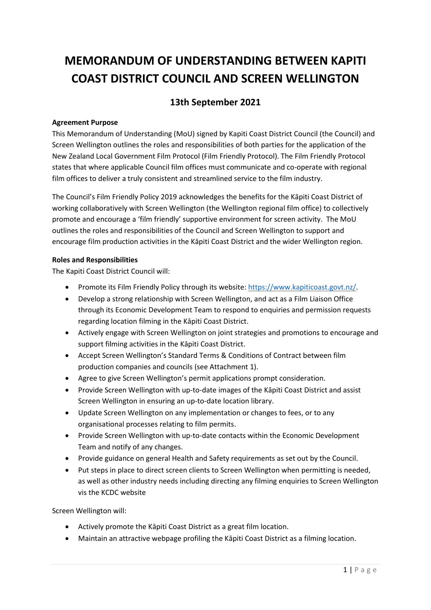# **MEMORANDUM OF UNDERSTANDING BETWEEN KAPITI COAST DISTRICT COUNCIL AND SCREEN WELLINGTON**

# **13th September 2021**

### **Agreement Purpose**

This Memorandum of Understanding (MoU) signed by Kapiti Coast District Council (the Council) and Screen Wellington outlines the roles and responsibilities of both parties for the application of the New Zealand Local Government Film Protocol (Film Friendly Protocol). The Film Friendly Protocol states that where applicable Council film offices must communicate and co-operate with regional film offices to deliver a truly consistent and streamlined service to the film industry.

The Council's Film Friendly Policy 2019 acknowledges the benefits for the Kāpiti Coast District of working collaboratively with Screen Wellington (the Wellington regional film office) to collectively promote and encourage a 'film friendly' supportive environment for screen activity. The MoU outlines the roles and responsibilities of the Council and Screen Wellington to support and encourage film production activities in the Kāpiti Coast District and the wider Wellington region.

#### **Roles and Responsibilities**

The Kapiti Coast District Council will:

- Promote its Film Friendly Policy through its website: [https://www.kapiticoast.govt.nz/.](https://www.kapiticoast.govt.nz/)
- Develop a strong relationship with Screen Wellington, and act as a Film Liaison Office through its Economic Development Team to respond to enquiries and permission requests regarding location filming in the Kāpiti Coast District.
- Actively engage with Screen Wellington on joint strategies and promotions to encourage and support filming activities in the Kāpiti Coast District.
- Accept Screen Wellington's Standard Terms & Conditions of Contract between film production companies and councils (see Attachment 1).
- Agree to give Screen Wellington's permit applications prompt consideration.
- Provide Screen Wellington with up-to-date images of the Kāpiti Coast District and assist Screen Wellington in ensuring an up-to-date location library.
- Update Screen Wellington on any implementation or changes to fees, or to any organisational processes relating to film permits.
- Provide Screen Wellington with up-to-date contacts within the Economic Development Team and notify of any changes.
- Provide guidance on general Health and Safety requirements as set out by the Council.
- Put steps in place to direct screen clients to Screen Wellington when permitting is needed, as well as other industry needs including directing any filming enquiries to Screen Wellington vis the KCDC website

Screen Wellington will:

- Actively promote the Kāpiti Coast District as a great film location.
- Maintain an attractive webpage profiling the Kāpiti Coast District as a filming location.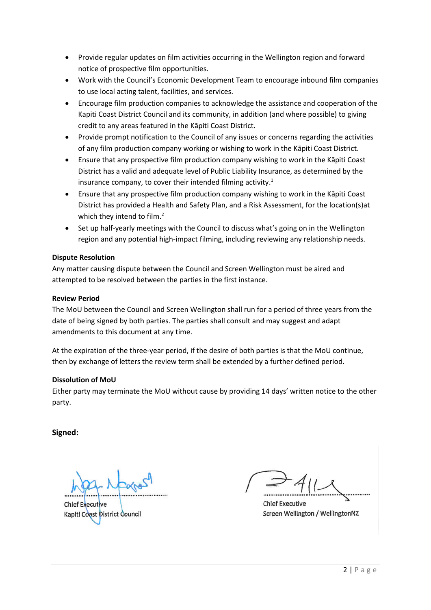- Provide regular updates on film activities occurring in the Wellington region and forward notice of prospective film opportunities.
- Work with the Council's Economic Development Team to encourage inbound film companies to use local acting talent, facilities, and services.
- Encourage film production companies to acknowledge the assistance and cooperation of the Kapiti Coast District Council and its community, in addition (and where possible) to giving credit to any areas featured in the Kāpiti Coast District.
- Provide prompt notification to the Council of any issues or concerns regarding the activities of any film production company working or wishing to work in the Kāpiti Coast District.
- Ensure that any prospective film production company wishing to work in the Kāpiti Coast District has a valid and adequate level of Public Liability Insurance, as determined by the insurance company, to cover their intended filming activity. 1
- Ensure that any prospective film production company wishing to work in the Kāpiti Coast District has provided a Health and Safety Plan, and a Risk Assessment, for the location(s)at which they intend to film.<sup>2</sup>
- Set up half-yearly meetings with the Council to discuss what's going on in the Wellington region and any potential high-impact filming, including reviewing any relationship needs.

# **Dispute Resolution**

Any matter causing dispute between the Council and Screen Wellington must be aired and attempted to be resolved between the parties in the first instance.

#### **Review Period**

The MoU between the Council and Screen Wellington shall run for a period of three years from the date of being signed by both parties. The parties shall consult and may suggest and adapt amendments to this document at any time.

At the expiration of the three-year period, if the desire of both parties is that the MoU continue, then by exchange of letters the review term shall be extended by a further defined period.

# **Dissolution of MoU**

Either party may terminate the MoU without cause by providing 14 days' written notice to the other party.

**Signed:** 

**Chief Executive** Kapiti Coast District Council

**Chief Executive** Screen Wellington / WellingtonNZ